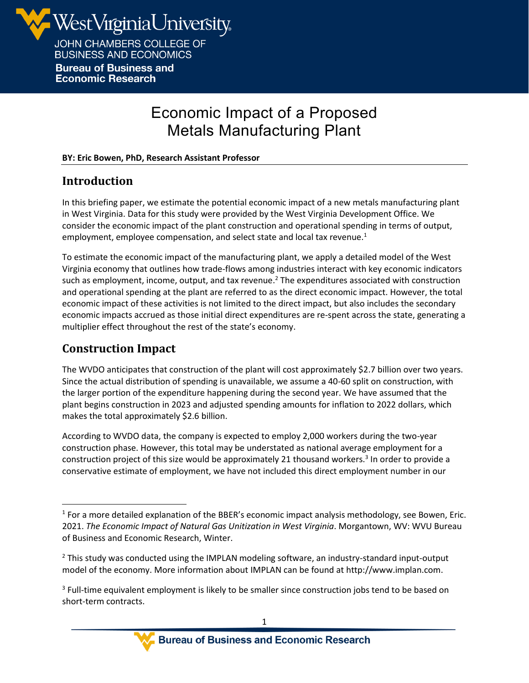

**Bureau of Business and Economic Research** 

# Economic Impact of a Proposed Metals Manufacturing Plant

#### **BY: Eric Bowen, PhD, Research Assistant Professor**

#### **Introduction**

In this briefing paper, we estimate the potential economic impact of a new metals manufacturing plant in West Virginia. Data for this study were provided by the West Virginia Development Office. We consider the economic impact of the plant construction and operational spending in terms of output, employment, employee compensation, and select state and local tax revenue.<sup>1</sup>

To estimate the economic impact of the manufacturing plant, we apply a detailed model of the West Virginia economy that outlines how trade-flows among industries interact with key economic indicators such as employment, income, output, and tax revenue.<sup>2</sup> The expenditures associated with construction and operational spending at the plant are referred to as the direct economic impact. However, the total economic impact of these activities is not limited to the direct impact, but also includes the secondary economic impacts accrued as those initial direct expenditures are re-spent across the state, generating a multiplier effect throughout the rest of the state's economy.

### **Construction Impact**

The WVDO anticipates that construction of the plant will cost approximately \$2.7 billion over two years. Since the actual distribution of spending is unavailable, we assume a 40-60 split on construction, with the larger portion of the expenditure happening during the second year. We have assumed that the plant begins construction in 2023 and adjusted spending amounts for inflation to 2022 dollars, which makes the total approximately \$2.6 billion.

According to WVDO data, the company is expected to employ 2,000 workers during the two-year construction phase. However, this total may be understated as national average employment for a construction project of this size would be approximately 21 thousand workers.<sup>3</sup> In order to provide a conservative estimate of employment, we have not included this direct employment number in our

 $<sup>1</sup>$  For a more detailed explanation of the BBER's economic impact analysis methodology, see Bowen, Eric.</sup> 2021. *The Economic Impact of Natural Gas Unitization in West Virginia*. Morgantown, WV: WVU Bureau of Business and Economic Research, Winter.

 $<sup>2</sup>$  This study was conducted using the IMPLAN modeling software, an industry-standard input-output</sup> model of the economy. More information about IMPLAN can be found at http://www.implan.com.

 $3$  Full-time equivalent employment is likely to be smaller since construction jobs tend to be based on short-term contracts.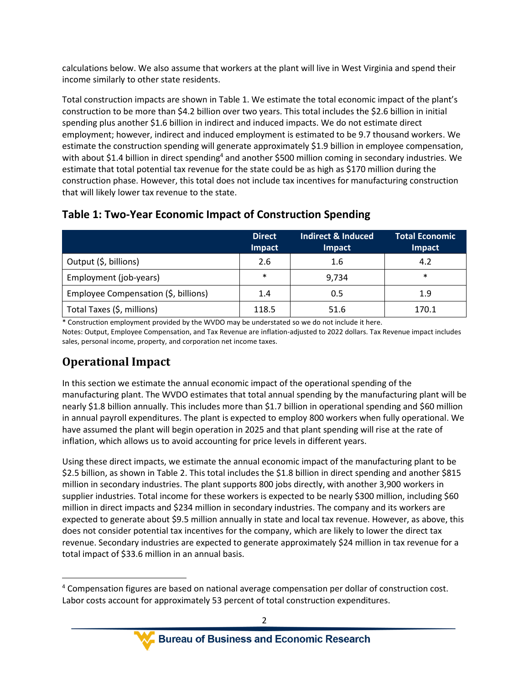calculations below. We also assume that workers at the plant will live in West Virginia and spend their income similarly to other state residents.

Total construction impacts are shown in Table 1. We estimate the total economic impact of the plant's construction to be more than \$4.2 billion over two years. This total includes the \$2.6 billion in initial spending plus another \$1.6 billion in indirect and induced impacts. We do not estimate direct employment; however, indirect and induced employment is estimated to be 9.7 thousand workers. We estimate the construction spending will generate approximately \$1.9 billion in employee compensation, with about \$1.4 billion in direct spending<sup>4</sup> and another \$500 million coming in secondary industries. We estimate that total potential tax revenue for the state could be as high as \$170 million during the construction phase. However, this total does not include tax incentives for manufacturing construction that will likely lower tax revenue to the state.

|                                      | <b>Direct</b><br><b>Impact</b> | <b>Indirect &amp; Induced</b><br><b>Impact</b> | <b>Total Economic</b><br><b>Impact</b> |
|--------------------------------------|--------------------------------|------------------------------------------------|----------------------------------------|
| Output (\$, billions)                | 2.6                            | 1.6                                            | 4.2                                    |
| Employment (job-years)               | $\ast$                         | 9,734                                          | $\ast$                                 |
| Employee Compensation (\$, billions) | 1.4                            | 0.5                                            | 1.9                                    |
| Total Taxes (\$, millions)           | 118.5                          | 51.6                                           | 170.1                                  |

#### **Table 1: Two-Year Economic Impact of Construction Spending**

\* Construction employment provided by the WVDO may be understated so we do not include it here. Notes: Output, Employee Compensation, and Tax Revenue are inflation-adjusted to 2022 dollars. Tax Revenue impact includes sales, personal income, property, and corporation net income taxes.

## **Operational Impact**

In this section we estimate the annual economic impact of the operational spending of the manufacturing plant. The WVDO estimates that total annual spending by the manufacturing plant will be nearly \$1.8 billion annually. This includes more than \$1.7 billion in operational spending and \$60 million in annual payroll expenditures. The plant is expected to employ 800 workers when fully operational. We have assumed the plant will begin operation in 2025 and that plant spending will rise at the rate of inflation, which allows us to avoid accounting for price levels in different years.

Using these direct impacts, we estimate the annual economic impact of the manufacturing plant to be \$2.5 billion, as shown i[n Table 2.](#page-2-0) This total includes the \$1.8 billion in direct spending and another \$815 million in secondary industries. The plant supports 800 jobs directly, with another 3,900 workers in supplier industries. Total income for these workers is expected to be nearly \$300 million, including \$60 million in direct impacts and \$234 million in secondary industries. The company and its workers are expected to generate about \$9.5 million annually in state and local tax revenue. However, as above, this does not consider potential tax incentives for the company, which are likely to lower the direct tax revenue. Secondary industries are expected to generate approximately \$24 million in tax revenue for a total impact of \$33.6 million in an annual basis.

<sup>4</sup> Compensation figures are based on national average compensation per dollar of construction cost. Labor costs account for approximately 53 percent of total construction expenditures.

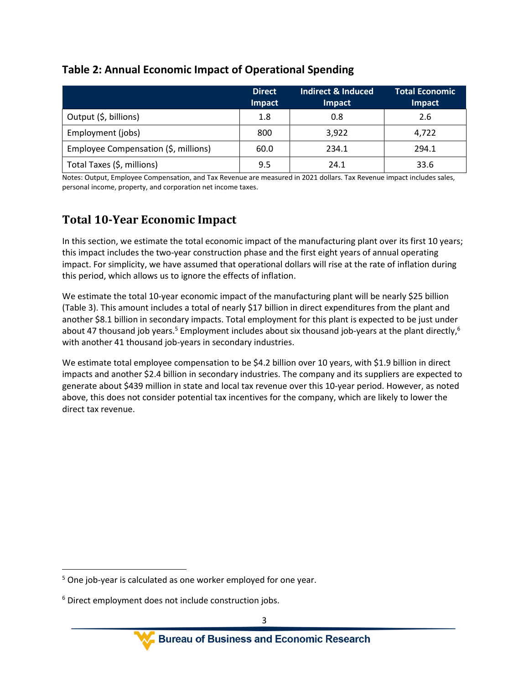#### <span id="page-2-0"></span>**Table 2: Annual Economic Impact of Operational Spending**

|                                      | <b>Direct</b><br>Impact | Indirect & Induced<br><b>Impact</b> | <b>Total Economic</b><br>Impact |
|--------------------------------------|-------------------------|-------------------------------------|---------------------------------|
| Output (\$, billions)                | 1.8                     | 0.8                                 | 2.6                             |
| Employment (jobs)                    | 800                     | 3,922                               | 4,722                           |
| Employee Compensation (\$, millions) | 60.0                    | 234.1                               | 294.1                           |
| Total Taxes (\$, millions)           | 9.5                     | 24.1                                | 33.6                            |

Notes: Output, Employee Compensation, and Tax Revenue are measured in 2021 dollars. Tax Revenue impact includes sales, personal income, property, and corporation net income taxes.

### **Total 10-Year Economic Impact**

In this section, we estimate the total economic impact of the manufacturing plant over its first 10 years; this impact includes the two-year construction phase and the first eight years of annual operating impact. For simplicity, we have assumed that operational dollars will rise at the rate of inflation during this period, which allows us to ignore the effects of inflation.

We estimate the total 10-year economic impact of the manufacturing plant will be nearly \$25 billion [\(Table 3\)](#page-3-0). This amount includes a total of nearly \$17 billion in direct expenditures from the plant and another \$8.1 billion in secondary impacts. Total employment for this plant is expected to be just under about 47 thousand job years.<sup>5</sup> Employment includes about six thousand job-years at the plant directly,<sup>6</sup> with another 41 thousand job-years in secondary industries.

We estimate total employee compensation to be \$4.2 billion over 10 years, with \$1.9 billion in direct impacts and another \$2.4 billion in secondary industries. The company and its suppliers are expected to generate about \$439 million in state and local tax revenue over this 10-year period. However, as noted above, this does not consider potential tax incentives for the company, which are likely to lower the direct tax revenue.

<sup>&</sup>lt;sup>5</sup> One job-year is calculated as one worker employed for one year.

<sup>&</sup>lt;sup>6</sup> Direct employment does not include construction jobs.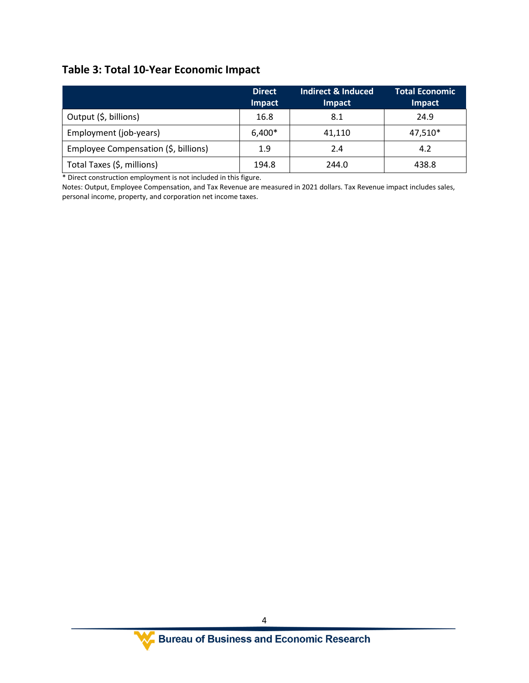## <span id="page-3-0"></span>**Table 3: Total 10-Year Economic Impact**

|                                      | <b>Direct</b><br><b>Impact</b> | <b>Indirect &amp; Induced</b><br>Impact | <b>Total Economic</b><br>Impact |
|--------------------------------------|--------------------------------|-----------------------------------------|---------------------------------|
| Output (\$, billions)                | 16.8                           | 8.1                                     | 24.9                            |
| Employment (job-years)               | 6,400*                         | 41,110                                  | 47,510*                         |
| Employee Compensation (\$, billions) | 1.9                            | 2.4                                     | 4.2                             |
| Total Taxes (\$, millions)           | 194.8                          | 244.0                                   | 438.8                           |

\* Direct construction employment is not included in this figure.

Notes: Output, Employee Compensation, and Tax Revenue are measured in 2021 dollars. Tax Revenue impact includes sales, personal income, property, and corporation net income taxes.